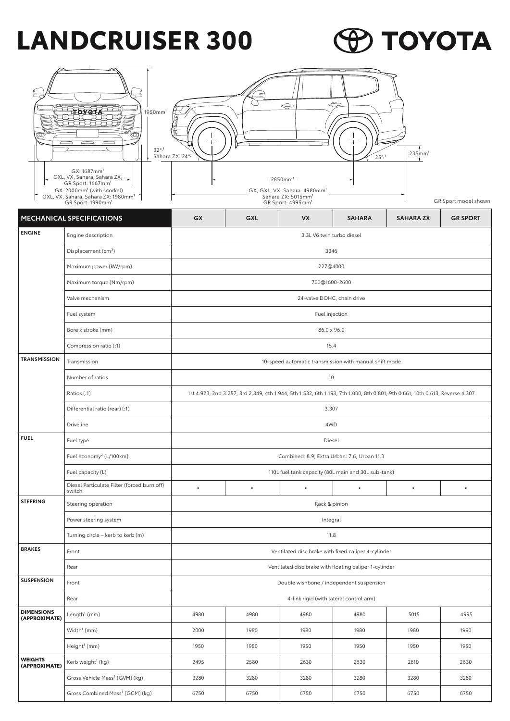## **LANDCRUISER 300**

## **ED TOYOTA**

|                                                                                    | 1950mm <sup>1</sup><br>32° <sub>7</sub><br>GX: 1687mm <sup>1</sup><br>GXL, VX, Sahara, Sahara ZX, __<br>GR Sport: 1667mm <sup>1</sup><br>GX: 2000mm <sup>1</sup> (with snorkel)<br>GXL, VX, Sahara, Sahara ZX: 1980mm <sup>1</sup><br>GR Sport: 1990mm <sup>1</sup> | ⇔<br>$\Leftrightarrow$<br>$235$ mm <sup>1</sup><br>Sahara ZX: 24°,1<br>25° <sub>7</sub><br>2850mm <sup>1</sup><br>GX, GXL, VX, Sahara: 4980mm <sup>1</sup><br>Sahara ZX: 5015mm <sup>1</sup><br>GR Sport model shown<br>GR Sport: 4995mm <sup>1</sup> |           |                                                        |               |                  |                 |  |  |
|------------------------------------------------------------------------------------|---------------------------------------------------------------------------------------------------------------------------------------------------------------------------------------------------------------------------------------------------------------------|-------------------------------------------------------------------------------------------------------------------------------------------------------------------------------------------------------------------------------------------------------|-----------|--------------------------------------------------------|---------------|------------------|-----------------|--|--|
|                                                                                    | <b>MECHANICAL SPECIFICATIONS</b>                                                                                                                                                                                                                                    | GX                                                                                                                                                                                                                                                    | GXL       | <b>VX</b>                                              | <b>SAHARA</b> | <b>SAHARA ZX</b> | <b>GR SPORT</b> |  |  |
| <b>ENGINE</b>                                                                      | Engine description                                                                                                                                                                                                                                                  |                                                                                                                                                                                                                                                       |           | 3.3L V6 twin turbo diesel                              |               |                  |                 |  |  |
|                                                                                    | Displacement (cm <sup>3</sup> )                                                                                                                                                                                                                                     | 3346                                                                                                                                                                                                                                                  |           |                                                        |               |                  |                 |  |  |
|                                                                                    | Maximum power (kW/rpm)                                                                                                                                                                                                                                              |                                                                                                                                                                                                                                                       |           | 227@4000                                               |               |                  |                 |  |  |
|                                                                                    | Maximum torque (Nm/rpm)                                                                                                                                                                                                                                             |                                                                                                                                                                                                                                                       |           | 700@1600-2600                                          |               |                  |                 |  |  |
|                                                                                    | Valve mechanism                                                                                                                                                                                                                                                     |                                                                                                                                                                                                                                                       |           | 24-valve DOHC, chain drive                             |               |                  |                 |  |  |
|                                                                                    | Fuel system                                                                                                                                                                                                                                                         |                                                                                                                                                                                                                                                       |           | Fuel injection                                         |               |                  |                 |  |  |
|                                                                                    | Bore x stroke (mm)                                                                                                                                                                                                                                                  | 86.0 x 96.0                                                                                                                                                                                                                                           |           |                                                        |               |                  |                 |  |  |
|                                                                                    | Compression ratio (:1)                                                                                                                                                                                                                                              | 15.4                                                                                                                                                                                                                                                  |           |                                                        |               |                  |                 |  |  |
| <b>TRANSMISSION</b>                                                                | Transmission                                                                                                                                                                                                                                                        |                                                                                                                                                                                                                                                       |           | 10-speed automatic transmission with manual shift mode |               |                  |                 |  |  |
|                                                                                    | Number of ratios                                                                                                                                                                                                                                                    | 10                                                                                                                                                                                                                                                    |           |                                                        |               |                  |                 |  |  |
|                                                                                    | Ratios (:1)                                                                                                                                                                                                                                                         | 1st 4.923, 2nd 3.257, 3rd 2.349, 4th 1.944, 5th 1.532, 6th 1.193, 7th 1.000, 8th 0.801, 9th 0.661, 10th 0.613, Reverse 4.307                                                                                                                          |           |                                                        |               |                  |                 |  |  |
|                                                                                    | Differential ratio (rear) (:1)                                                                                                                                                                                                                                      | 3.307                                                                                                                                                                                                                                                 |           |                                                        |               |                  |                 |  |  |
|                                                                                    | Driveline                                                                                                                                                                                                                                                           | 4WD                                                                                                                                                                                                                                                   |           |                                                        |               |                  |                 |  |  |
| <b>FUEL</b>                                                                        | Fuel type                                                                                                                                                                                                                                                           |                                                                                                                                                                                                                                                       |           | Diesel                                                 |               |                  |                 |  |  |
| Fuel economy <sup>2</sup> (L/100km)<br>Combined: 8.9, Extra Urban: 7.6, Urban 11.3 |                                                                                                                                                                                                                                                                     |                                                                                                                                                                                                                                                       |           |                                                        |               |                  |                 |  |  |
|                                                                                    | Fuel capacity (L)                                                                                                                                                                                                                                                   | 110L fuel tank capacity (80L main and 30L sub-tank)                                                                                                                                                                                                   |           |                                                        |               |                  |                 |  |  |
|                                                                                    | Diesel Particulate Filter (forced burn off)<br>switch                                                                                                                                                                                                               | $\bullet$                                                                                                                                                                                                                                             | $\bullet$ | $\bullet$                                              | $\bullet$     | $\bullet$        | $\bullet$       |  |  |
| <b>STEERING</b>                                                                    | Steering operation                                                                                                                                                                                                                                                  |                                                                                                                                                                                                                                                       |           |                                                        |               |                  |                 |  |  |
|                                                                                    | Power steering system                                                                                                                                                                                                                                               |                                                                                                                                                                                                                                                       |           | Integral                                               |               |                  |                 |  |  |
|                                                                                    | Turning circle - kerb to kerb (m)                                                                                                                                                                                                                                   | 11.8                                                                                                                                                                                                                                                  |           |                                                        |               |                  |                 |  |  |
| <b>BRAKES</b>                                                                      | Front                                                                                                                                                                                                                                                               | Ventilated disc brake with fixed caliper 4-cylinder<br>Ventilated disc brake with floating caliper 1-cylinder                                                                                                                                         |           |                                                        |               |                  |                 |  |  |
|                                                                                    | Rear                                                                                                                                                                                                                                                                |                                                                                                                                                                                                                                                       |           |                                                        |               |                  |                 |  |  |
| <b>SUSPENSION</b>                                                                  | Front                                                                                                                                                                                                                                                               | Double wishbone / independent suspension                                                                                                                                                                                                              |           |                                                        |               |                  |                 |  |  |
| 4-link rigid (with lateral control arm)<br>Rear                                    |                                                                                                                                                                                                                                                                     |                                                                                                                                                                                                                                                       |           |                                                        |               |                  |                 |  |  |
| <b>DIMENSIONS</b><br>(APPROXIMATE)                                                 | Length <sup>1</sup> (mm)                                                                                                                                                                                                                                            | 4980                                                                                                                                                                                                                                                  | 4980      | 4980                                                   | 4980          | 5015             | 4995            |  |  |
|                                                                                    | Width <sup>1</sup> (mm)                                                                                                                                                                                                                                             | 2000                                                                                                                                                                                                                                                  | 1980      | 1980                                                   | 1980          | 1980             | 1990            |  |  |
|                                                                                    | Height <sup>1</sup> (mm)                                                                                                                                                                                                                                            | 1950                                                                                                                                                                                                                                                  | 1950      | 1950                                                   | 1950          | 1950             | 1950            |  |  |
| <b>WEIGHTS</b><br>(APPROXIMATE)                                                    | Kerb weight <sup>1</sup> (kg)                                                                                                                                                                                                                                       | 2495                                                                                                                                                                                                                                                  | 2580      | 2630                                                   | 2630          | 2610             | 2630            |  |  |
|                                                                                    | Gross Vehicle Mass <sup>1</sup> (GVM) (kg)                                                                                                                                                                                                                          | 3280                                                                                                                                                                                                                                                  | 3280      | 3280                                                   | 3280          | 3280             | 3280            |  |  |
|                                                                                    | Gross Combined Mass <sup>1</sup> (GCM) (kg)                                                                                                                                                                                                                         | 6750                                                                                                                                                                                                                                                  | 6750      | 6750                                                   | 6750          | 6750             | 6750            |  |  |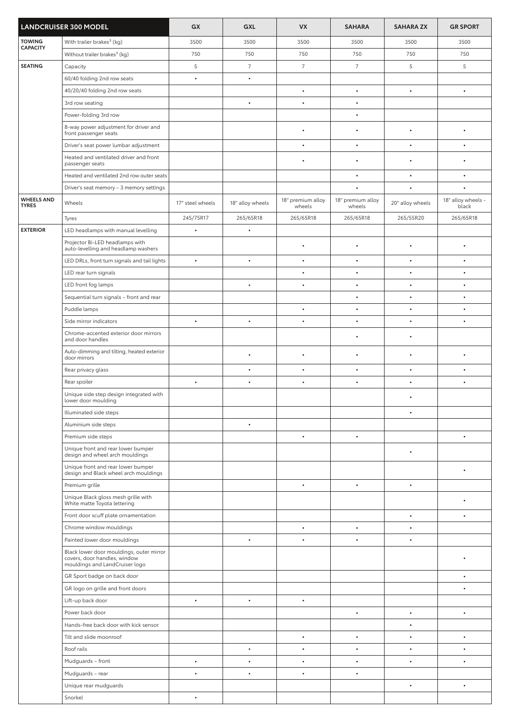| <b>LANDCRUISER 300 MODEL</b>      |                                                                                                            | GX               | GXL              | <b>VX</b>                   | <b>SAHARA</b>               | <b>SAHARA ZX</b>       | <b>GR SPORT</b>             |
|-----------------------------------|------------------------------------------------------------------------------------------------------------|------------------|------------------|-----------------------------|-----------------------------|------------------------|-----------------------------|
| <b>TOWING</b>                     | With trailer brakes <sup>3</sup> (kg)                                                                      | 3500             | 3500             | 3500                        | 3500                        | 3500                   | 3500                        |
| <b>CAPACITY</b>                   | Without trailer brakes <sup>3</sup> (kg)                                                                   | 750              | 750              | 750                         | 750                         | 750                    | 750                         |
| <b>SEATING</b>                    | Capacity                                                                                                   | 5                | $\overline{7}$   | $\overline{7}$              | $\overline{7}$              | 5                      | 5                           |
|                                   | 60/40 folding 2nd row seats                                                                                | $\bullet$        | $\bullet$        |                             |                             |                        |                             |
|                                   | 40/20/40 folding 2nd row seats                                                                             |                  |                  | $\bullet$                   | $\bullet$                   | $\bullet$              | $\bullet$                   |
|                                   | 3rd row seating                                                                                            |                  | $\bullet$        | $\bullet$                   | $\bullet$                   |                        |                             |
|                                   | Power-folding 3rd row                                                                                      |                  |                  |                             | $\bullet$                   |                        |                             |
|                                   | 8-way power adjustment for driver and<br>front passenger seats                                             |                  |                  | $\bullet$                   | $\bullet$                   | $\bullet$              | $\bullet$                   |
|                                   | Driver's seat power lumbar adjustment                                                                      |                  |                  | $\bullet$                   | $\bullet$                   | $\bullet$              | $\bullet$                   |
|                                   | Heated and ventilated driver and front<br>passenger seats                                                  |                  |                  | $\bullet$                   | $\bullet$                   | $\bullet$              | $\bullet$                   |
|                                   | Heated and ventilated 2nd row outer seats                                                                  |                  |                  |                             | $\bullet$                   | $\bullet$              | $\bullet$                   |
|                                   | Driver's seat memory - 3 memory settings                                                                   |                  |                  |                             | $\bullet$                   |                        | $\bullet$                   |
| <b>WHEELS AND</b><br><b>TYRES</b> | Wheels                                                                                                     | 17" steel wheels | 18" alloy wheels | 18" premium alloy<br>wheels | 18" premium alloy<br>wheels | 20" alloy wheels       | 18" alloy wheels -<br>black |
|                                   | Tyres                                                                                                      | 245/75R17        | 265/65R18        | 265/65R18                   | 265/65R18                   | 265/55R20              | 265/65R18                   |
| <b>EXTERIOR</b>                   | LED headlamps with manual levelling                                                                        | $\bullet$        | $\bullet$        |                             |                             |                        |                             |
|                                   | Projector Bi-LED headlamps with                                                                            |                  |                  | $\bullet$                   | $\bullet$                   | $\bullet$              | ٠                           |
|                                   | auto-levelling and headlamp washers                                                                        |                  |                  |                             |                             |                        |                             |
|                                   | LED DRLs, front turn signals and tail lights                                                               | $\bullet$        | $\bullet$        | $\bullet$                   | $\bullet$                   | $\bullet$              | $\bullet$                   |
|                                   | LED rear turn signals                                                                                      |                  |                  | $\bullet$                   | $\bullet$                   | $\bullet$              | $\bullet$                   |
|                                   | LED front fog lamps                                                                                        |                  | $\bullet$        | $\bullet$                   | $\bullet$                   | $\bullet$              | $\bullet$                   |
|                                   | Sequential turn signals - front and rear                                                                   |                  |                  |                             | $\bullet$                   | $\bullet$              | $\bullet$                   |
|                                   | Puddle lamps<br>Side mirror indicators                                                                     | $\bullet$        | $\bullet$        | $\bullet$<br>$\bullet$      | $\bullet$<br>$\bullet$      | $\bullet$<br>$\bullet$ | $\bullet$<br>$\bullet$      |
|                                   | Chrome-accented exterior door mirrors                                                                      |                  |                  |                             |                             |                        |                             |
|                                   | and door handles                                                                                           |                  |                  |                             | $\bullet$                   | $\bullet$              |                             |
|                                   | Auto-dimming and tilting, heated exterior<br>door mirrors                                                  |                  | $\bullet$        | $\bullet$                   | $\bullet$                   | $\bullet$              | ٠                           |
|                                   | Rear privacy glass                                                                                         |                  | $\bullet$        | $\bullet$                   |                             | $\bullet$              | $\bullet$                   |
|                                   | Rear spoiler                                                                                               | $\bullet$        | $\bullet$        | $\bullet$                   | $\bullet$                   | $\bullet$              | $\bullet$                   |
|                                   | Unique side step design integrated with<br>lower door moulding                                             |                  |                  |                             |                             | $\bullet$              |                             |
|                                   | Illuminated side steps                                                                                     |                  |                  |                             |                             | $\bullet$              |                             |
|                                   | Aluminium side steps                                                                                       |                  | $\bullet$        |                             |                             |                        |                             |
|                                   | Premium side steps                                                                                         |                  |                  | $\bullet$                   |                             |                        |                             |
|                                   | Unique front and rear lower bumper<br>design and wheel arch mouldings                                      |                  |                  |                             |                             |                        |                             |
|                                   | Unique front and rear lower bumper<br>design and Black wheel arch mouldings                                |                  |                  |                             |                             |                        | ٠                           |
|                                   | Premium grille                                                                                             |                  |                  | $\bullet$                   | $\bullet$                   | $\bullet$              |                             |
|                                   | Unique Black gloss mesh grille with<br>White matte Toyota lettering                                        |                  |                  |                             |                             |                        |                             |
|                                   | Front door scuff plate ornamentation                                                                       |                  |                  |                             |                             | $\bullet$              | $\bullet$                   |
|                                   | Chrome window mouldings                                                                                    |                  |                  | $\bullet$                   | $\bullet$                   | $\bullet$              |                             |
|                                   | Painted lower door mouldings                                                                               |                  | $\bullet$        | $\bullet$                   | $\bullet$                   | $\bullet$              |                             |
|                                   | Black lower door mouldings, outer mirror<br>covers, door handles, window<br>mouldings and LandCruiser logo |                  |                  |                             |                             |                        |                             |
|                                   | GR Sport badge on back door                                                                                |                  |                  |                             |                             |                        | $\bullet$                   |
|                                   | GR logo on grille and front doors                                                                          |                  |                  |                             |                             |                        | $\bullet$                   |
|                                   | Lift-up back door                                                                                          | $\bullet$        | $\bullet$        | $\bullet$                   |                             |                        |                             |
|                                   | Power back door                                                                                            |                  |                  |                             | $\bullet$                   | $\bullet$              | $\bullet$                   |
|                                   | Hands-free back door with kick sensor                                                                      |                  |                  |                             |                             | $\bullet$              |                             |
|                                   | Tilt and slide moonroof                                                                                    |                  |                  | $\bullet$                   | $\bullet$                   |                        | $\bullet$                   |
|                                   | Roof rails                                                                                                 |                  | $\bullet$        | $\bullet$                   | $\bullet$                   | $\bullet$              | $\bullet$                   |
|                                   | Mudguards - front                                                                                          | $\bullet$        | $\bullet$        | $\bullet$                   | $\bullet$                   | $\bullet$              | $\bullet$                   |
|                                   | Mudguards - rear                                                                                           | $\bullet$        | $\bullet$        | $\bullet$                   | $\bullet$                   |                        |                             |
|                                   | Unique rear mudguards                                                                                      |                  |                  |                             |                             |                        | $\bullet$                   |
|                                   | Snorkel                                                                                                    | $\bullet$        |                  |                             |                             |                        |                             |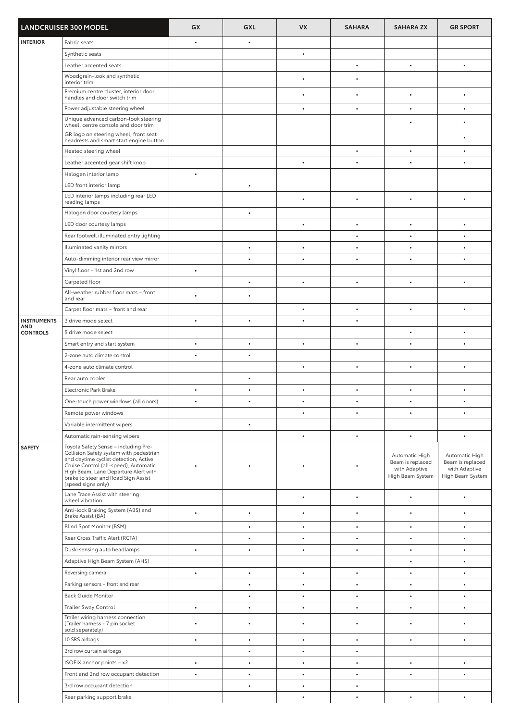| <b>LANDCRUISER 300 MODEL</b> |                                                                                                                                                                                                                                                                        | GX        | GXL       | <b>VX</b> | <b>SAHARA</b> | <b>SAHARA ZX</b>                                                        | <b>GR SPORT</b>                                                         |
|------------------------------|------------------------------------------------------------------------------------------------------------------------------------------------------------------------------------------------------------------------------------------------------------------------|-----------|-----------|-----------|---------------|-------------------------------------------------------------------------|-------------------------------------------------------------------------|
| <b>INTERIOR</b>              | Fabric seats                                                                                                                                                                                                                                                           | $\bullet$ | $\bullet$ |           |               |                                                                         |                                                                         |
|                              | Synthetic seats                                                                                                                                                                                                                                                        |           |           | $\bullet$ |               |                                                                         |                                                                         |
|                              | Leather accented seats                                                                                                                                                                                                                                                 |           |           |           | $\bullet$     | $\bullet$                                                               | $\bullet$                                                               |
|                              | Woodgrain-look and synthetic                                                                                                                                                                                                                                           |           |           | $\bullet$ | $\bullet$     |                                                                         |                                                                         |
|                              | interior trim<br>Premium centre cluster, interior door                                                                                                                                                                                                                 |           |           |           |               |                                                                         |                                                                         |
|                              | handles and door switch trim                                                                                                                                                                                                                                           |           |           | $\bullet$ | $\bullet$     | $\bullet$                                                               | $\bullet$                                                               |
|                              | Power adjustable steering wheel                                                                                                                                                                                                                                        |           |           | $\bullet$ | $\bullet$     | $\bullet$                                                               |                                                                         |
|                              | Unique advanced carbon-look steering<br>wheel, centre console and door trim                                                                                                                                                                                            |           |           |           |               |                                                                         |                                                                         |
|                              | GR logo on steering wheel, front seat<br>headrests and smart start engine button                                                                                                                                                                                       |           |           |           |               |                                                                         |                                                                         |
|                              | Heated steering wheel                                                                                                                                                                                                                                                  |           |           |           | $\bullet$     | $\bullet$                                                               | $\bullet$                                                               |
|                              | Leather accented gear shift knob                                                                                                                                                                                                                                       |           |           | $\bullet$ | $\bullet$     | $\bullet$                                                               | $\bullet$                                                               |
|                              | Halogen interior lamp                                                                                                                                                                                                                                                  | $\bullet$ |           |           |               |                                                                         |                                                                         |
|                              | LED front interior lamp                                                                                                                                                                                                                                                |           | $\bullet$ |           |               |                                                                         |                                                                         |
|                              | LED interior lamps including rear LED<br>reading lamps                                                                                                                                                                                                                 |           |           | $\bullet$ | $\bullet$     | $\bullet$                                                               | $\bullet$                                                               |
|                              | Halogen door courtesy lamps                                                                                                                                                                                                                                            |           | $\bullet$ |           |               |                                                                         |                                                                         |
|                              | LED door courtesy lamps                                                                                                                                                                                                                                                |           |           | $\bullet$ | $\bullet$     | $\bullet$                                                               | $\bullet$                                                               |
|                              | Rear footwell illuminated entry lighting                                                                                                                                                                                                                               |           |           |           | $\bullet$     |                                                                         | $\bullet$                                                               |
|                              | Illuminated vanity mirrors                                                                                                                                                                                                                                             |           | $\bullet$ | $\bullet$ |               |                                                                         |                                                                         |
|                              | Auto-dimming interior rear view mirror                                                                                                                                                                                                                                 |           | $\bullet$ | $\bullet$ | $\bullet$     | $\bullet$                                                               | $\bullet$                                                               |
|                              | Vinyl floor - 1st and 2nd row                                                                                                                                                                                                                                          | $\bullet$ |           |           |               |                                                                         |                                                                         |
|                              | Carpeted floor                                                                                                                                                                                                                                                         |           | $\bullet$ | $\bullet$ | $\bullet$     | $\bullet$                                                               | $\bullet$                                                               |
|                              | All-weather rubber floor mats - front<br>and rear                                                                                                                                                                                                                      | $\bullet$ | $\bullet$ |           |               |                                                                         |                                                                         |
|                              | Carpet floor mats - front and rear                                                                                                                                                                                                                                     |           |           | $\bullet$ | $\bullet$     |                                                                         |                                                                         |
| <b>INSTRUMENTS</b>           | 3 drive mode select                                                                                                                                                                                                                                                    | $\bullet$ | $\bullet$ | $\bullet$ | $\bullet$     |                                                                         |                                                                         |
| AND<br><b>CONTROLS</b>       | 5 drive mode select                                                                                                                                                                                                                                                    |           |           |           |               | $\bullet$                                                               | $\bullet$                                                               |
|                              | Smart entry and start system                                                                                                                                                                                                                                           | $\bullet$ | $\bullet$ | $\bullet$ | $\bullet$     |                                                                         | $\bullet$                                                               |
|                              | 2-zone auto climate control                                                                                                                                                                                                                                            |           | $\bullet$ |           |               |                                                                         |                                                                         |
|                              | 4-zone auto climate control                                                                                                                                                                                                                                            |           |           | $\bullet$ | $\bullet$     | $\bullet$                                                               | $\bullet$                                                               |
|                              | Rear auto cooler                                                                                                                                                                                                                                                       |           | $\bullet$ |           |               |                                                                         |                                                                         |
|                              | Electronic Park Brake                                                                                                                                                                                                                                                  | $\bullet$ | $\bullet$ | $\bullet$ | $\bullet$     | $\bullet$                                                               | $\bullet$                                                               |
|                              | One-touch power windows (all doors)                                                                                                                                                                                                                                    | $\bullet$ | $\bullet$ | $\bullet$ | $\bullet$     |                                                                         |                                                                         |
|                              | Remote power windows                                                                                                                                                                                                                                                   |           |           | $\bullet$ | $\bullet$     | $\bullet$                                                               | $\bullet$                                                               |
|                              | Variable intermittent wipers                                                                                                                                                                                                                                           |           | $\bullet$ |           |               |                                                                         |                                                                         |
|                              | Automatic rain-sensing wipers                                                                                                                                                                                                                                          |           |           | $\bullet$ | $\bullet$     | $\bullet$                                                               | $\bullet$                                                               |
| <b>SAFETY</b>                | Toyota Safety Sense - including Pre-<br>Collision Safety system with pedestrian<br>and daytime cyclist detection, Active<br>Cruise Control (all-speed), Automatic<br>High Beam, Lane Departure Alert with<br>brake to steer and Road Sign Assist<br>(speed signs only) |           |           |           |               | Automatic High<br>Beam is replaced<br>with Adaptive<br>High Beam System | Automatic High<br>Beam is replaced<br>with Adaptive<br>High Beam System |
|                              | Lane Trace Assist with steering<br>wheel vibration                                                                                                                                                                                                                     |           |           | $\bullet$ | $\bullet$     | $\bullet$                                                               | $\bullet$                                                               |
|                              | Anti-lock Braking System (ABS) and<br>Brake Assist (BA)                                                                                                                                                                                                                | $\bullet$ | $\bullet$ | $\bullet$ | $\bullet$     | $\bullet$                                                               | $\bullet$                                                               |
|                              | Blind Spot Monitor (BSM)                                                                                                                                                                                                                                               |           | $\bullet$ | $\bullet$ | $\bullet$     | $\bullet$                                                               | $\bullet$                                                               |
|                              | Rear Cross Traffic Alert (RCTA)                                                                                                                                                                                                                                        |           | $\bullet$ | $\bullet$ | $\bullet$     | $\bullet$                                                               | $\bullet$                                                               |
|                              | Dusk-sensing auto headlamps                                                                                                                                                                                                                                            | $\bullet$ | $\bullet$ | $\bullet$ | $\bullet$     | $\bullet$                                                               | $\bullet$                                                               |
|                              | Adaptive High Beam System (AHS)                                                                                                                                                                                                                                        |           |           |           |               | ٠                                                                       | $\bullet$                                                               |
|                              | Reversing camera                                                                                                                                                                                                                                                       | $\bullet$ | $\bullet$ | $\bullet$ | $\bullet$     | $\bullet$                                                               | $\bullet$                                                               |
|                              | Parking sensors - front and rear                                                                                                                                                                                                                                       |           | $\bullet$ | $\bullet$ | $\bullet$     | $\bullet$                                                               | $\bullet$                                                               |
|                              | <b>Back Guide Monitor</b>                                                                                                                                                                                                                                              |           | $\bullet$ | $\bullet$ | $\bullet$     | $\bullet$                                                               | $\bullet$                                                               |
|                              | Trailer Sway Control                                                                                                                                                                                                                                                   |           | $\bullet$ | $\bullet$ | $\bullet$     |                                                                         |                                                                         |
|                              | Trailer wiring harness connection<br>(Trailer harness - 7 pin socket<br>sold separately)                                                                                                                                                                               |           | $\bullet$ | $\bullet$ | $\bullet$     |                                                                         |                                                                         |
|                              | 10 SRS airbags                                                                                                                                                                                                                                                         | $\bullet$ | $\bullet$ | $\bullet$ | $\bullet$     | $\bullet$                                                               | $\bullet$                                                               |
|                              | 3rd row curtain airbags                                                                                                                                                                                                                                                |           | $\bullet$ | $\bullet$ | $\bullet$     |                                                                         |                                                                         |
|                              | ISOFIX anchor points - x2                                                                                                                                                                                                                                              | $\bullet$ | $\bullet$ | $\bullet$ | $\bullet$     | $\bullet$                                                               | $\bullet$                                                               |
|                              | Front and 2nd row occupant detection                                                                                                                                                                                                                                   | $\bullet$ | $\bullet$ | $\bullet$ | $\bullet$     | $\bullet$                                                               |                                                                         |
|                              | 3rd row occupant detection                                                                                                                                                                                                                                             |           | $\bullet$ | $\bullet$ | $\bullet$     |                                                                         |                                                                         |
|                              | Rear parking support brake                                                                                                                                                                                                                                             |           |           | $\bullet$ | $\bullet$     | $\bullet$                                                               | $\bullet$                                                               |